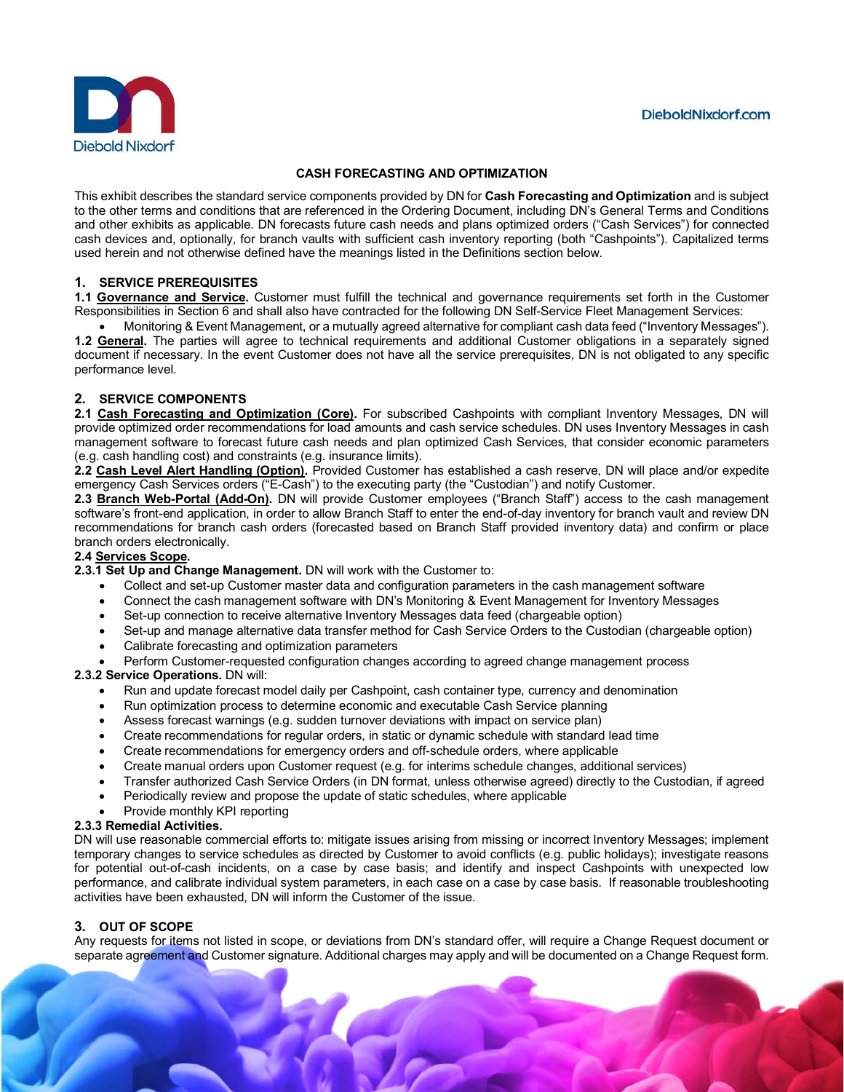

### **CASH FORECASTING AND OPTIMIZATION**

This exhibit describes the standard service components provided by DN for **Cash Forecasting and Optimization** and is subject to the other terms and conditions that are referenced in the Ordering Document, including DN's General Terms and Conditions and other exhibits as applicable. DN forecasts future cash needs and plans optimized orders ("Cash Services") for connected cash devices and, optionally, for branch vaults with sufficient cash inventory reporting (both "Cashpoints"). Capitalized terms used herein and not otherwise defined have the meanings listed in the Definitions section below.

### **1. SERVICE PREREQUISITES**

**1.1 Governance and Service.** Customer must fulfill the technical and governance requirements set forth in the Customer Responsibilities in Section 6 and shall also have contracted for the following DN Self-Service Fleet Management Services:

• Monitoring & Event Management, or a mutually agreed alternative for compliant cash data feed ("Inventory Messages"). **1.2 General.** The parties will agree to technical requirements and additional Customer obligations in a separately signed document if necessary. In the event Customer does not have all the service prerequisites, DN is not obligated to any specific performance level.

# **2. SERVICE COMPONENTS**

**2.1 Cash Forecasting and Optimization (Core).** For subscribed Cashpoints with compliant Inventory Messages, DN will provide optimized order recommendations for load amounts and cash service schedules. DN uses Inventory Messages in cash management software to forecast future cash needs and plan optimized Cash Services, that consider economic parameters (e.g. cash handling cost) and constraints (e.g. insurance limits).

**2.2 Cash Level Alert Handling (Option).** Provided Customer has established a cash reserve, DN will place and/or expedite emergency Cash Services orders ("E-Cash") to the executing party (the "Custodian") and notify Customer.

**2.3 Branch Web-Portal (Add-On).** DN will provide Customer employees ("Branch Staff") access to the cash management software's front-end application, in order to allow Branch Staff to enter the end-of-day inventory for branch vault and review DN recommendations for branch cash orders (forecasted based on Branch Staff provided inventory data) and confirm or place branch orders electronically.

#### **2.4 Services Scope.**

**2.3.1 Set Up and Change Management.** DN will work with the Customer to:

- Collect and set-up Customer master data and configuration parameters in the cash management software
- Connect the cash management software with DN's Monitoring & Event Management for Inventory Messages
- Set-up connection to receive alternative Inventory Messages data feed (chargeable option)
- Set-up and manage alternative data transfer method for Cash Service Orders to the Custodian (chargeable option)
- Calibrate forecasting and optimization parameters

• Perform Customer-requested configuration changes according to agreed change management process

### **2.3.2 Service Operations.** DN will:

- Run and update forecast model daily per Cashpoint, cash container type, currency and denomination
- Run optimization process to determine economic and executable Cash Service planning
- Assess forecast warnings (e.g. sudden turnover deviations with impact on service plan)
- Create recommendations for regular orders, in static or dynamic schedule with standard lead time
- Create recommendations for emergency orders and off-schedule orders, where applicable
- Create manual orders upon Customer request (e.g. for interims schedule changes, additional services)
- Transfer authorized Cash Service Orders (in DN format, unless otherwise agreed) directly to the Custodian, if agreed
- Periodically review and propose the update of static schedules, where applicable
- Provide monthly KPI reporting

#### **2.3.3 Remedial Activities.**

DN will use reasonable commercial efforts to: mitigate issues arising from missing or incorrect Inventory Messages; implement temporary changes to service schedules as directed by Customer to avoid conflicts (e.g. public holidays); investigate reasons for potential out-of-cash incidents, on a case by case basis; and identify and inspect Cashpoints with unexpected low performance, and calibrate individual system parameters, in each case on a case by case basis. If reasonable troubleshooting activities have been exhausted, DN will inform the Customer of the issue.

#### **3. OUT OF SCOPE**

Any requests for items not listed in scope, or deviations from DN's standard offer, will require a Change Request document or separate agreement and Customer signature. Additional charges may apply and will be documented on a Change Request form.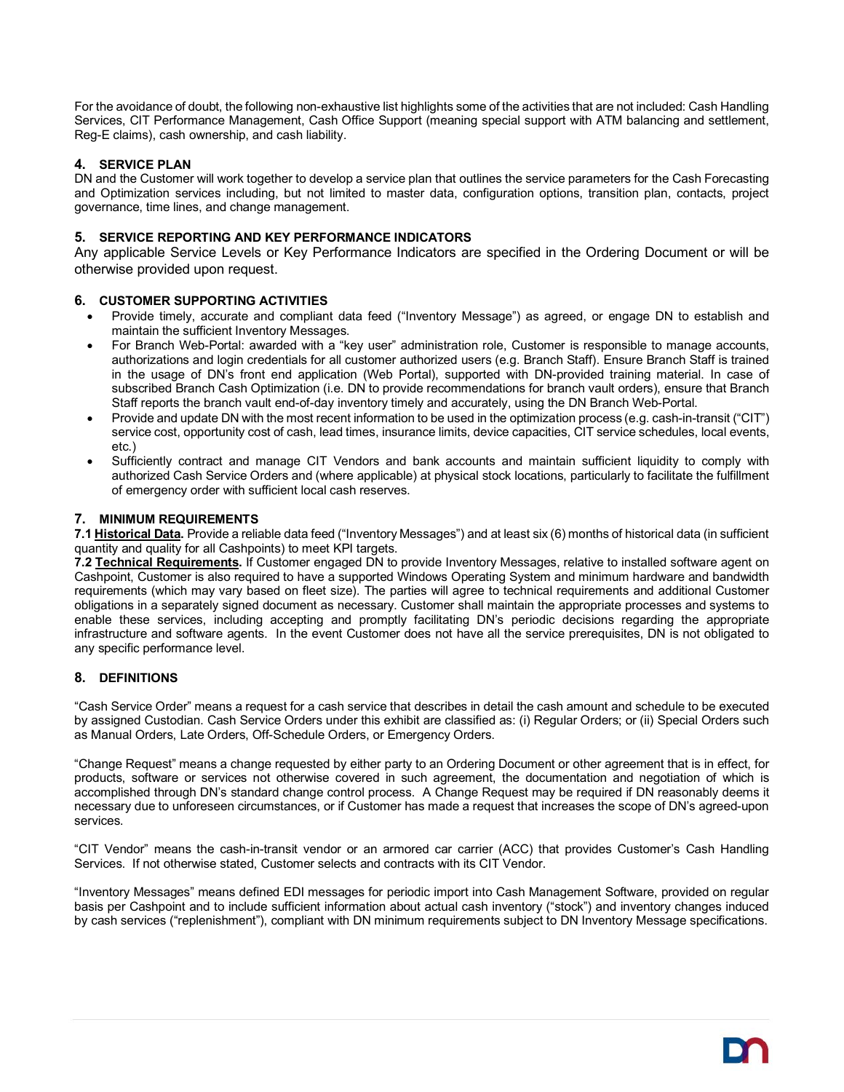For the avoidance of doubt, the following non-exhaustive list highlights some of the activities that are not included: Cash Handling Services, CIT Performance Management, Cash Office Support (meaning special support with ATM balancing and settlement, Reg-E claims), cash ownership, and cash liability.

# **4. SERVICE PLAN**

DN and the Customer will work together to develop a service plan that outlines the service parameters for the Cash Forecasting and Optimization services including, but not limited to master data, configuration options, transition plan, contacts, project governance, time lines, and change management.

## **5. SERVICE REPORTING AND KEY PERFORMANCE INDICATORS**

Any applicable Service Levels or Key Performance Indicators are specified in the Ordering Document or will be otherwise provided upon request.

#### **6. CUSTOMER SUPPORTING ACTIVITIES**

- Provide timely, accurate and compliant data feed ("Inventory Message") as agreed, or engage DN to establish and maintain the sufficient Inventory Messages.
- For Branch Web-Portal: awarded with a "key user" administration role, Customer is responsible to manage accounts, authorizations and login credentials for all customer authorized users (e.g. Branch Staff). Ensure Branch Staff is trained in the usage of DN's front end application (Web Portal), supported with DN-provided training material. In case of subscribed Branch Cash Optimization (i.e. DN to provide recommendations for branch vault orders), ensure that Branch Staff reports the branch vault end-of-day inventory timely and accurately, using the DN Branch Web-Portal.
- Provide and update DN with the most recent information to be used in the optimization process (e.g. cash-in-transit ("CIT") service cost, opportunity cost of cash, lead times, insurance limits, device capacities, CIT service schedules, local events, etc.)
- Sufficiently contract and manage CIT Vendors and bank accounts and maintain sufficient liquidity to comply with authorized Cash Service Orders and (where applicable) at physical stock locations, particularly to facilitate the fulfillment of emergency order with sufficient local cash reserves.

#### **7. MINIMUM REQUIREMENTS**

**7.1 Historical Data.** Provide a reliable data feed ("Inventory Messages") and at least six (6) months of historical data (in sufficient quantity and quality for all Cashpoints) to meet KPI targets.

**7.2 Technical Requirements.** If Customer engaged DN to provide Inventory Messages, relative to installed software agent on Cashpoint, Customer is also required to have a supported Windows Operating System and minimum hardware and bandwidth requirements (which may vary based on fleet size). The parties will agree to technical requirements and additional Customer obligations in a separately signed document as necessary. Customer shall maintain the appropriate processes and systems to enable these services, including accepting and promptly facilitating DN's periodic decisions regarding the appropriate infrastructure and software agents. In the event Customer does not have all the service prerequisites, DN is not obligated to any specific performance level.

#### **8. DEFINITIONS**

"Cash Service Order" means a request for a cash service that describes in detail the cash amount and schedule to be executed by assigned Custodian. Cash Service Orders under this exhibit are classified as: (i) Regular Orders; or (ii) Special Orders such as Manual Orders, Late Orders, Off-Schedule Orders, or Emergency Orders.

"Change Request" means a change requested by either party to an Ordering Document or other agreement that is in effect, for products, software or services not otherwise covered in such agreement, the documentation and negotiation of which is accomplished through DN's standard change control process. A Change Request may be required if DN reasonably deems it necessary due to unforeseen circumstances, or if Customer has made a request that increases the scope of DN's agreed-upon services.

"CIT Vendor" means the cash-in-transit vendor or an armored car carrier (ACC) that provides Customer's Cash Handling Services. If not otherwise stated, Customer selects and contracts with its CIT Vendor.

"Inventory Messages" means defined EDI messages for periodic import into Cash Management Software, provided on regular basis per Cashpoint and to include sufficient information about actual cash inventory ("stock") and inventory changes induced by cash services ("replenishment"), compliant with DN minimum requirements subject to DN Inventory Message specifications.